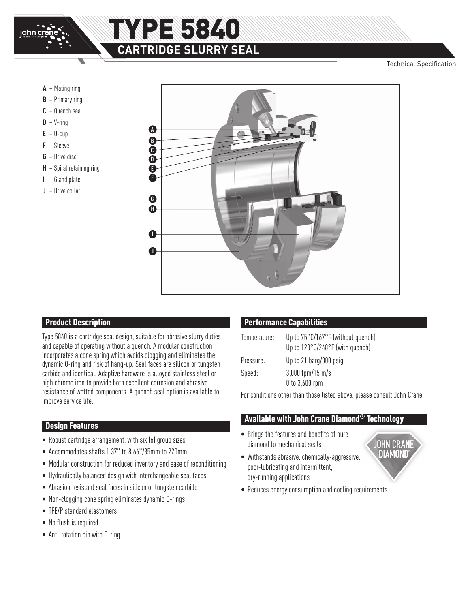

## **RE5840 CARTRIDGE SLURRY SEAL**

Technical Specification

- **A** Mating ring
- **B** Primary ring
- **C** Quench seal
- $D V$ -ring
- $E U$ -cup
- **F** Sleeve
- **G** Drive disc
- **H** Spiral retaining ring
- **I** Gland plate
- **J** Drive collar



#### **Product Description**

Type 5840 is a cartridge seal design, suitable for abrasive slurry duties and capable of operating without a quench. A modular construction incorporates a cone spring which avoids clogging and eliminates the dynamic O-ring and risk of hang-up. Seal faces are silicon or tungsten carbide and identical. Adaptive hardware is alloyed stainless steel or high chrome iron to provide both excellent corrosion and abrasive resistance of wetted components. A quench seal option is available to improve service life.

#### Design Features

- Robust cartridge arrangement, with six (6) group sizes
- Accommodates shafts 1.37" to 8.66"/35mm to 220mm
- Modular construction for reduced inventory and ease of reconditioning
- Hydraulically balanced design with interchangeable seal faces
- Abrasion resistant seal faces in silicon or tungsten carbide
- Non-clogging cone spring eliminates dynamic O-rings
- TFE/P standard elastomers
- No flush is required
- Anti-rotation pin with O-ring

#### Performance Capabilities

| Temperature: | Up to 75°C/167°F (without quench)<br>Up to 120°C/248°F (with quench) |
|--------------|----------------------------------------------------------------------|
| Pressure:    | Up to 21 barg/300 psig                                               |
| Speed:       | $3,000$ fpm/15 m/s<br>$0$ to $3,600$ rpm                             |

For conditions other than those listed above, please consult John Crane.

#### Available with John Crane Diamond**®** Technology

- Brings the features and benefits of pure diamond to mechanical seals
- Withstands abrasive, chemically-aggressive, poor-lubricating and intermittent, dry-running applications



• Reduces energy consumption and cooling requirements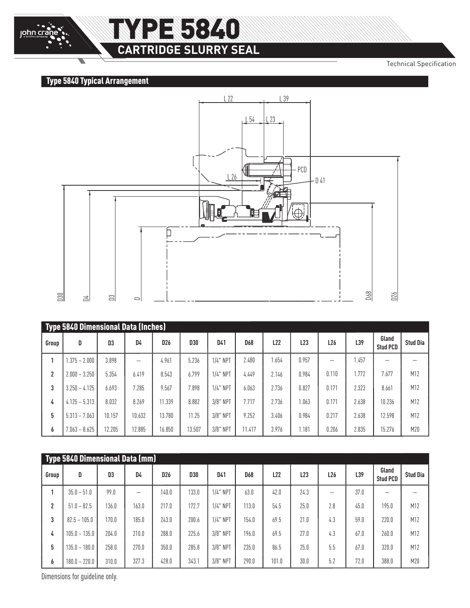## E 5840 **CARTRIDGE SLURRY SEAL**

Technical Specification

### Type 5840 Typical Arrangement

John crane



| Type 5840 Dimensional Data (Inches) |                 |        |        |                 |            |             |            |       |                 |                 |       |                          |                 |
|-------------------------------------|-----------------|--------|--------|-----------------|------------|-------------|------------|-------|-----------------|-----------------|-------|--------------------------|-----------------|
| Group                               | D               | D3     | D4     | D <sub>26</sub> | <b>D30</b> | D41         | <b>D68</b> | L22   | L <sub>23</sub> | L <sub>26</sub> | L39   | Gland<br><b>Stud PCD</b> | <b>Stud Dia</b> |
|                                     | $.375 - 2.000$  | 3.898  |        | 4.961           | 5.236      | $1/4$ " NPT | 2.480      | .654  | 0.957           |                 | .457  |                          |                 |
| 2                                   | $2.000 - 3.250$ | 5.354  | 6.419  | 8.543           | 6.799      | $1/4$ " NPT | 4.449      | 2.146 | 0.984           | 0.110           | .772  | 7.677                    | M12             |
| 3                                   | $3.250 - 4.125$ | 6.693  | 7.285  | 9.567           | 7.898      | $1/4$ " NPT | 6.063      | 2.736 | 0.827           | 0.171           | 2.323 | 8.661                    | M12             |
| 4                                   | $4.125 - 5.313$ | 8.032  | 8.269  | 11.339          | 8.882      | $3/8$ " NPT | 7.717      | 2.736 | 1.063           | 0.171           | 2.638 | 10.236                   | M12             |
| 5                                   | $5.313 - 7.063$ | 10.157 | 10.632 | 13.780          | 11.25      | $3/8$ " NPT | 9.252      | 3.406 | 0.984           | 0.217           | 2.638 | 12.598                   | M12             |
| 6                                   | $7.063 - 8.625$ | 12.205 | 12.885 | 16.850          | 13.507     | $3/8$ " NPT | 11.417     | 3.976 | 1.181           | 0.206           | 2.835 | 15.276                   | M20             |

| <b>Type 5840 Dimensional Data (mm)</b> |                 |       |       |                 |       |             |            |       |      |                 |      |                          |                 |
|----------------------------------------|-----------------|-------|-------|-----------------|-------|-------------|------------|-------|------|-----------------|------|--------------------------|-----------------|
| Group                                  | D               | D3    | D4    | D <sub>26</sub> | D30   | D41         | <b>D68</b> | L22   | L23  | L <sub>26</sub> | L39  | Gland<br><b>Stud PCD</b> | <b>Stud Dia</b> |
|                                        | $35.0 - 51.0$   | 99.0  |       | 140.0           | 133.0 | $1/4$ " NPT | 63.0       | 42.0  | 24.3 |                 | 37.0 |                          |                 |
| 2                                      | $51.0 - 82.5$   | 136.0 | 163.0 | 217.0           | 172.7 | $1/4$ " NPT | 113.0      | 54.5  | 25.0 | 2.8             | 45.0 | 195.0                    | M12             |
| 3                                      | $82.5 - 105.0$  | 170.0 | 185.0 | 243.0           | 200.6 | $1/4$ " NPT | 154.0      | 69.5  | 21.0 | 4.3             | 59.0 | 220.0                    | M12             |
| 4                                      | $105.0 - 135.0$ | 204.0 | 210.0 | 288.0           | 225.6 | 3/8" NPT    | 196.0      | 69.5  | 27.0 | 4.3             | 67.0 | 260.0                    | M12             |
| 5                                      | $135.0 - 180.0$ | 258.0 | 270.0 | 350.0           | 285.8 | 3/8" NPT    | 235.0      | 86.5  | 25.0 | 5.5             | 67.0 | 320.0                    | M12             |
| 6                                      | $180.0 - 220.0$ | 310.0 | 327.3 | 428.0           | 343.1 | $3/8$ " NPT | 290.0      | 101.0 | 30.0 | 5.2             | 72.0 | 388.0                    | M20             |

Dimensions for guideline only.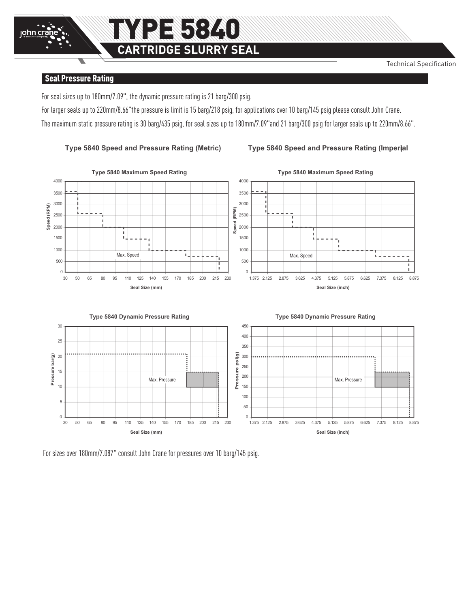### Seal Pressure Rating

John crane

For seal sizes up to 180mm/7.09", the dynamic pressure rating is 21 barg/300 psig.

For larger seals up to 220mm/8.66"the pressure is limit is 15 barg/218 psig, for applications over 10 barg/145 psig please consult John Crane. The maximum static pressure rating is 30 barg/435 psig, for seal sizes up to 180mm/7.09"and 21 barg/300 psig for larger seals up to 220mm/8.66".







For sizes over 180mm/7.087" consult John Crane for pressures over 10 barg/145 psig.